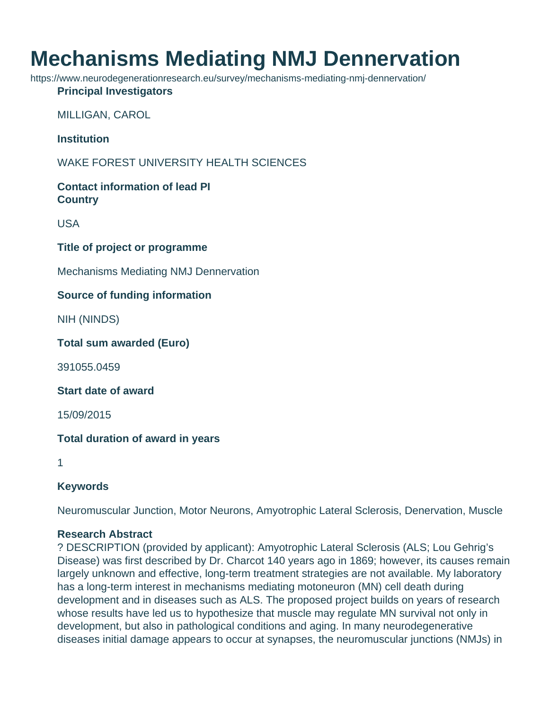# **Mechanisms Mediating NMJ Dennervation**

https://www.neurodegenerationresearch.eu/survey/mechanisms-mediating-nmj-dennervation/

#### **Principal Investigators**

MILLIGAN, CAROL

**Institution**

WAKE FOREST UNIVERSITY HEALTH SCIENCES

## **Contact information of lead PI Country**

USA

## **Title of project or programme**

Mechanisms Mediating NMJ Dennervation

## **Source of funding information**

NIH (NINDS)

#### **Total sum awarded (Euro)**

391055.0459

#### **Start date of award**

15/09/2015

## **Total duration of award in years**

1

## **Keywords**

Neuromuscular Junction, Motor Neurons, Amyotrophic Lateral Sclerosis, Denervation, Muscle

#### **Research Abstract**

? DESCRIPTION (provided by applicant): Amyotrophic Lateral Sclerosis (ALS; Lou Gehrig's Disease) was first described by Dr. Charcot 140 years ago in 1869; however, its causes remain largely unknown and effective, long-term treatment strategies are not available. My laboratory has a long-term interest in mechanisms mediating motoneuron (MN) cell death during development and in diseases such as ALS. The proposed project builds on years of research whose results have led us to hypothesize that muscle may regulate MN survival not only in development, but also in pathological conditions and aging. In many neurodegenerative diseases initial damage appears to occur at synapses, the neuromuscular junctions (NMJs) in